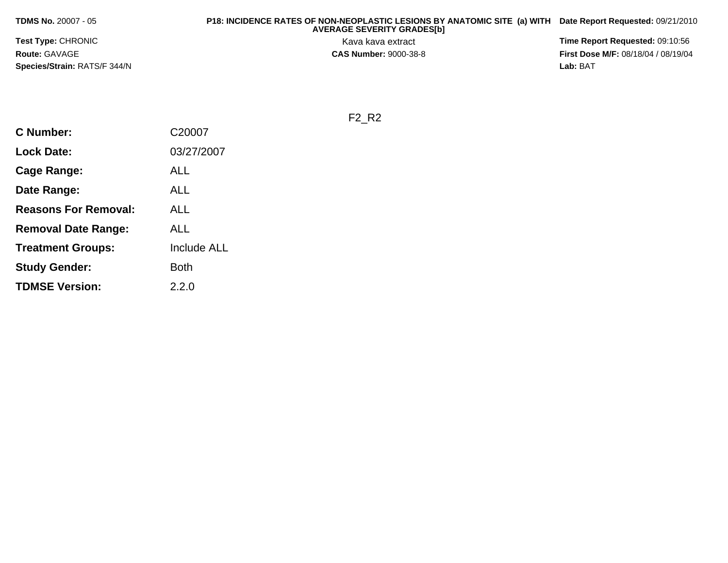**TDMS No.** 20007 - 05

 **P18: INCIDENCE RATES OF NON-NEOPLASTIC LESIONS BY ANATOMIC SITE (a) WITH AVERAGE SEVERITY GRADES[b] Date Report Requested:** 09/21/2010

**Test Type:** CHRONIC**Route:** GAVAGE**Species/Strain:** RATS/F 344/N

Kava kava extract **Time Report Requested:** 09:10:56<br>**CAS Number:** 9000-38-8<br>**Tirst Dose M/F:** 08/18/04 / 08/19/04 **First Dose M/F:** 08/18/04 / 08/19/04 Lab: BAT **Lab:** BAT

F2\_R2

| <b>C</b> Number:            | C20007             |
|-----------------------------|--------------------|
| <b>Lock Date:</b>           | 03/27/2007         |
| Cage Range:                 | ALL                |
| Date Range:                 | ALL                |
| <b>Reasons For Removal:</b> | ALL                |
| <b>Removal Date Range:</b>  | ALL                |
| <b>Treatment Groups:</b>    | <b>Include ALL</b> |
| <b>Study Gender:</b>        | Both               |
| <b>TDMSE Version:</b>       | 2.2.0              |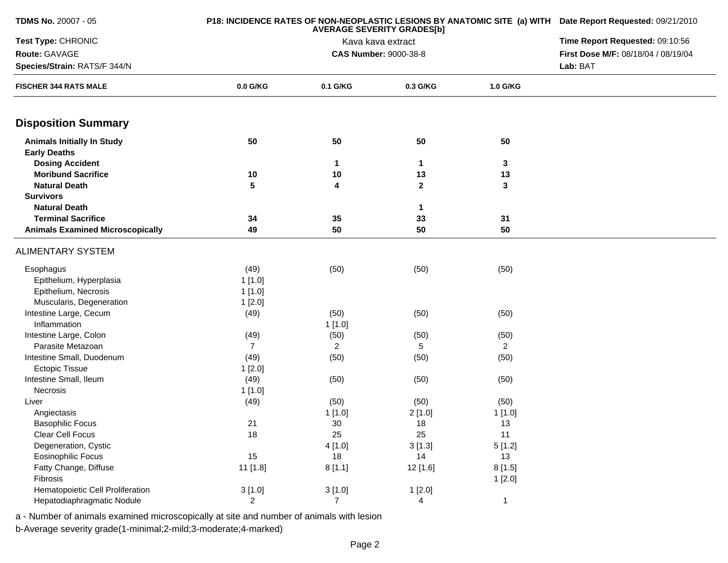| <b>TDMS No. 20007 - 05</b>                                   | P18: INCIDENCE RATES OF NON-NEOPLASTIC LESIONS BY ANATOMIC SITE (a) WITH Date Report Requested: 09/21/2010<br><b>AVERAGE SEVERITY GRADES[b]</b> |                                 |                              |                |                                     |
|--------------------------------------------------------------|-------------------------------------------------------------------------------------------------------------------------------------------------|---------------------------------|------------------------------|----------------|-------------------------------------|
| Test Type: CHRONIC                                           |                                                                                                                                                 | Time Report Requested: 09:10:56 |                              |                |                                     |
| Route: GAVAGE                                                |                                                                                                                                                 |                                 | <b>CAS Number: 9000-38-8</b> |                | First Dose M/F: 08/18/04 / 08/19/04 |
| Species/Strain: RATS/F 344/N                                 |                                                                                                                                                 |                                 |                              |                | Lab: BAT                            |
| <b>FISCHER 344 RATS MALE</b>                                 | 0.0 G/KG                                                                                                                                        | 0.1 G/KG                        | 0.3 G/KG                     | 1.0 G/KG       |                                     |
| <b>Disposition Summary</b>                                   |                                                                                                                                                 |                                 |                              |                |                                     |
| <b>Animals Initially In Study</b><br><b>Early Deaths</b>     | 50                                                                                                                                              | 50                              | 50                           | 50             |                                     |
| <b>Dosing Accident</b>                                       |                                                                                                                                                 | 1                               | $\mathbf{1}$                 | $\mathbf 3$    |                                     |
| <b>Moribund Sacrifice</b>                                    | 10                                                                                                                                              | 10                              | 13                           | 13             |                                     |
| <b>Natural Death</b>                                         | 5                                                                                                                                               | 4                               | $\mathbf{2}$                 | 3              |                                     |
| <b>Survivors</b>                                             |                                                                                                                                                 |                                 |                              |                |                                     |
| <b>Natural Death</b>                                         |                                                                                                                                                 |                                 | 1                            |                |                                     |
| <b>Terminal Sacrifice</b>                                    | 34                                                                                                                                              | 35                              | 33                           | 31             |                                     |
| <b>Animals Examined Microscopically</b>                      | 49                                                                                                                                              | 50                              | 50                           | 50             |                                     |
| <b>ALIMENTARY SYSTEM</b>                                     |                                                                                                                                                 |                                 |                              |                |                                     |
| Esophagus<br>Epithelium, Hyperplasia<br>Epithelium, Necrosis | (49)<br>1[1.0]<br>1[1.0]                                                                                                                        | (50)                            | (50)                         | (50)           |                                     |
| Muscularis, Degeneration                                     | 1[2.0]                                                                                                                                          |                                 |                              |                |                                     |
| Intestine Large, Cecum                                       | (49)                                                                                                                                            | (50)                            | (50)                         | (50)           |                                     |
| Inflammation                                                 |                                                                                                                                                 | 1[1.0]                          |                              |                |                                     |
| Intestine Large, Colon                                       | (49)                                                                                                                                            | (50)                            | (50)                         | (50)           |                                     |
| Parasite Metazoan                                            | $\overline{7}$                                                                                                                                  | $\overline{2}$                  | 5                            | $\overline{2}$ |                                     |
| Intestine Small, Duodenum                                    | (49)                                                                                                                                            | (50)                            | (50)                         | (50)           |                                     |
| <b>Ectopic Tissue</b>                                        | 1[2.0]                                                                                                                                          |                                 |                              |                |                                     |
| Intestine Small, Ileum                                       | (49)                                                                                                                                            | (50)                            | (50)                         | (50)           |                                     |
| Necrosis                                                     | 1[1.0]                                                                                                                                          |                                 |                              |                |                                     |
| Liver                                                        | (49)                                                                                                                                            | (50)                            | (50)                         | (50)           |                                     |
| Angiectasis                                                  |                                                                                                                                                 | 1[1.0]                          | 2[1.0]                       | 1[1.0]         |                                     |
| <b>Basophilic Focus</b>                                      | 21                                                                                                                                              | 30                              | 18                           | 13             |                                     |
| Clear Cell Focus                                             | 18                                                                                                                                              | 25                              | 25                           | 11             |                                     |
| Degeneration, Cystic                                         |                                                                                                                                                 | 4[1.0]                          | 3[1.3]                       | 5[1.2]         |                                     |
| Eosinophilic Focus                                           | 15                                                                                                                                              | 18                              | 14                           | 13             |                                     |
| Fatty Change, Diffuse                                        | 11 [1.8]                                                                                                                                        | 8[1.1]                          | 12 [1.6]                     | 8[1.5]         |                                     |
| Fibrosis                                                     |                                                                                                                                                 |                                 |                              | 1[2.0]         |                                     |
| Hematopoietic Cell Proliferation                             | 3[1.0]                                                                                                                                          | 3[1.0]                          | 1[2.0]                       |                |                                     |
| Hepatodiaphragmatic Nodule                                   | $\overline{2}$                                                                                                                                  | $\overline{7}$                  | 4                            | $\mathbf{1}$   |                                     |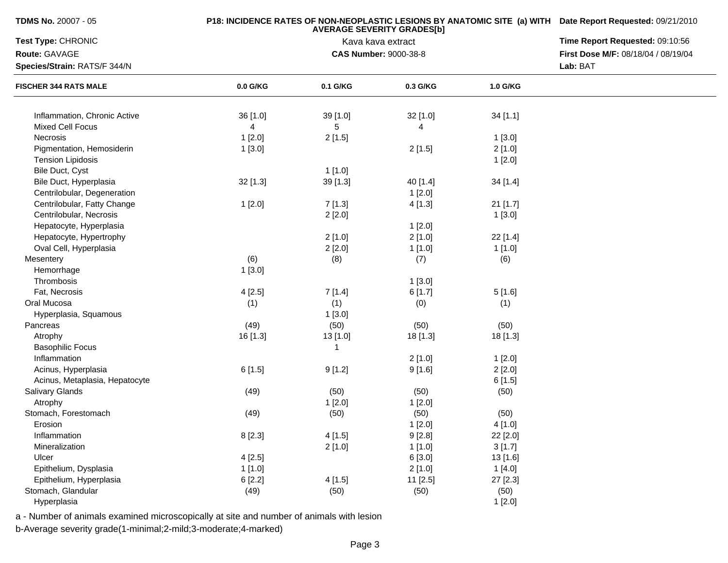| <b>TDMS No.</b> 20007 - 05     |          | P18: INCIDENCE RATES OF NON-NEOPLASTIC LESIONS BY ANATOMIC SITE (a) WITH Date Report Requested: 09/21/2010<br>Time Report Requested: 09:10:56 |                              |          |                                     |
|--------------------------------|----------|-----------------------------------------------------------------------------------------------------------------------------------------------|------------------------------|----------|-------------------------------------|
| Test Type: CHRONIC             |          |                                                                                                                                               |                              |          |                                     |
| Route: GAVAGE                  |          |                                                                                                                                               | <b>CAS Number: 9000-38-8</b> |          | First Dose M/F: 08/18/04 / 08/19/04 |
| Species/Strain: RATS/F 344/N   |          |                                                                                                                                               |                              |          | Lab: BAT                            |
| <b>FISCHER 344 RATS MALE</b>   | 0.0 G/KG | 0.1 G/KG                                                                                                                                      | 0.3 G/KG                     | 1.0 G/KG |                                     |
| Inflammation, Chronic Active   | 36 [1.0] | 39 [1.0]                                                                                                                                      | 32 [1.0]                     | 34[1.1]  |                                     |
| Mixed Cell Focus               | 4        | 5                                                                                                                                             | 4                            |          |                                     |
| Necrosis                       | 1[2.0]   | 2[1.5]                                                                                                                                        |                              | 1[3.0]   |                                     |
| Pigmentation, Hemosiderin      | 1[3.0]   |                                                                                                                                               | 2[1.5]                       | 2[1.0]   |                                     |
| <b>Tension Lipidosis</b>       |          |                                                                                                                                               |                              | 1[2.0]   |                                     |
| Bile Duct, Cyst                |          | 1[1.0]                                                                                                                                        |                              |          |                                     |
| Bile Duct, Hyperplasia         | 32 [1.3] | 39 [1.3]                                                                                                                                      | 40 [1.4]                     | 34 [1.4] |                                     |
| Centrilobular, Degeneration    |          |                                                                                                                                               | 1[2.0]                       |          |                                     |
| Centrilobular, Fatty Change    | 1[2.0]   | 7[1.3]                                                                                                                                        | 4[1.3]                       | 21 [1.7] |                                     |
| Centrilobular, Necrosis        |          | 2[2.0]                                                                                                                                        |                              | 1[3.0]   |                                     |
| Hepatocyte, Hyperplasia        |          |                                                                                                                                               | 1[2.0]                       |          |                                     |
| Hepatocyte, Hypertrophy        |          | 2[1.0]                                                                                                                                        | 2[1.0]                       | 22 [1.4] |                                     |
| Oval Cell, Hyperplasia         |          | 2[2.0]                                                                                                                                        | 1[1.0]                       | 1[1.0]   |                                     |
| Mesentery                      | (6)      | (8)                                                                                                                                           | (7)                          | (6)      |                                     |
| Hemorrhage                     | 1[3.0]   |                                                                                                                                               |                              |          |                                     |
| Thrombosis                     |          |                                                                                                                                               | 1[3.0]                       |          |                                     |
| Fat, Necrosis                  | 4[2.5]   | 7[1.4]                                                                                                                                        | 6[1.7]                       | 5[1.6]   |                                     |
| Oral Mucosa                    | (1)      | (1)                                                                                                                                           | (0)                          | (1)      |                                     |
| Hyperplasia, Squamous          |          | 1[3.0]                                                                                                                                        |                              |          |                                     |
| Pancreas                       | (49)     | (50)                                                                                                                                          | (50)                         | (50)     |                                     |
| Atrophy                        | 16 [1.3] | 13 [1.0]                                                                                                                                      | 18 [1.3]                     | 18 [1.3] |                                     |
| <b>Basophilic Focus</b>        |          | 1                                                                                                                                             |                              |          |                                     |
| Inflammation                   |          |                                                                                                                                               | 2[1.0]                       | 1[2.0]   |                                     |
| Acinus, Hyperplasia            | 6[1.5]   | 9[1.2]                                                                                                                                        | 9[1.6]                       | 2[2.0]   |                                     |
| Acinus, Metaplasia, Hepatocyte |          |                                                                                                                                               |                              | 6[1.5]   |                                     |
| Salivary Glands                | (49)     | (50)                                                                                                                                          | (50)                         | (50)     |                                     |
| Atrophy                        |          | 1[2.0]                                                                                                                                        | 1[2.0]                       |          |                                     |
| Stomach, Forestomach           | (49)     | (50)                                                                                                                                          | (50)                         | (50)     |                                     |
| Erosion                        |          |                                                                                                                                               | 1[2.0]                       | 4 [1.0]  |                                     |
| Inflammation                   | 8 [2.3]  | 4[1.5]                                                                                                                                        | 9[2.8]                       | 22 [2.0] |                                     |
| Mineralization                 |          | 2[1.0]                                                                                                                                        | 1[1.0]                       | 3[1.7]   |                                     |
| Ulcer                          | 4[2.5]   |                                                                                                                                               | 6[3.0]                       | 13 [1.6] |                                     |
| Epithelium, Dysplasia          | 1[1.0]   |                                                                                                                                               | 2[1.0]                       | 1[4.0]   |                                     |
| Epithelium, Hyperplasia        | 6 [2.2]  | 4[1.5]                                                                                                                                        | 11 [2.5]                     | 27 [2.3] |                                     |
| Stomach, Glandular             | (49)     | (50)                                                                                                                                          | (50)                         | (50)     |                                     |
| Hyperplasia                    |          |                                                                                                                                               |                              | 1[2.0]   |                                     |

a - Number of animals examined microscopically at site and number of animals with lesion

b-Average severity grade(1-minimal;2-mild;3-moderate;4-marked)

**TDMS No.** 20007 - 05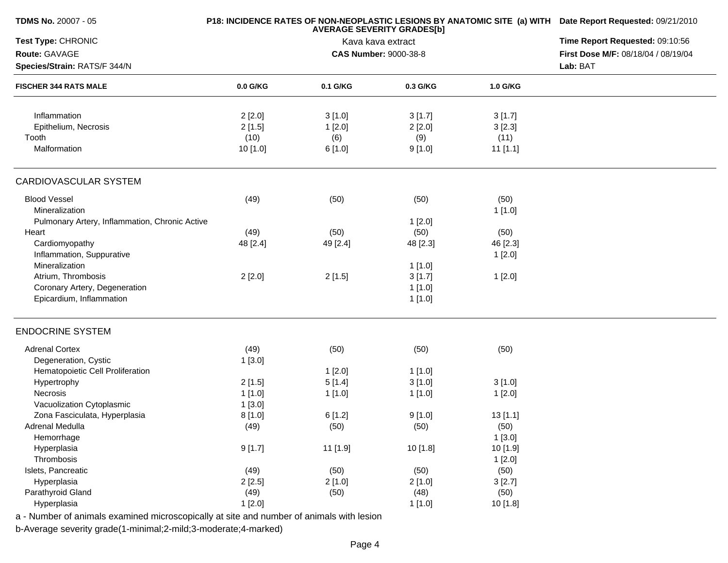| <b>TDMS No. 20007 - 05</b>                     |          | <b>AVERAGE SEVERITY GRADES[b]</b> | P18: INCIDENCE RATES OF NON-NEOPLASTIC LESIONS BY ANATOMIC SITE (a) WITH Date Report Requested: 09/21/2010 |            |                                     |
|------------------------------------------------|----------|-----------------------------------|------------------------------------------------------------------------------------------------------------|------------|-------------------------------------|
| Test Type: CHRONIC                             |          | Kava kava extract                 | Time Report Requested: 09:10:56                                                                            |            |                                     |
| Route: GAVAGE                                  |          |                                   | <b>CAS Number: 9000-38-8</b>                                                                               |            | First Dose M/F: 08/18/04 / 08/19/04 |
| Species/Strain: RATS/F 344/N                   |          |                                   |                                                                                                            |            | Lab: BAT                            |
| <b>FISCHER 344 RATS MALE</b>                   | 0.0 G/KG | 0.1 G/KG                          | 0.3 G/KG                                                                                                   | 1.0 G/KG   |                                     |
| Inflammation                                   | 2[2.0]   | 3[1.0]                            | 3[1.7]                                                                                                     | 3[1.7]     |                                     |
| Epithelium, Necrosis                           | 2[1.5]   | 1[2.0]                            | 2[2.0]                                                                                                     | 3[2.3]     |                                     |
| Tooth                                          | (10)     | (6)                               | (9)                                                                                                        | (11)       |                                     |
| Malformation                                   | 10 [1.0] | 6 [1.0]                           | 9[1.0]                                                                                                     | $11$ [1.1] |                                     |
| CARDIOVASCULAR SYSTEM                          |          |                                   |                                                                                                            |            |                                     |
| <b>Blood Vessel</b>                            | (49)     | (50)                              | (50)                                                                                                       | (50)       |                                     |
| Mineralization                                 |          |                                   |                                                                                                            | 1[1.0]     |                                     |
| Pulmonary Artery, Inflammation, Chronic Active |          |                                   | 1[2.0]                                                                                                     |            |                                     |
| Heart                                          | (49)     | (50)                              | (50)                                                                                                       | (50)       |                                     |
| Cardiomyopathy                                 | 48 [2.4] | 49 [2.4]                          | 48 [2.3]                                                                                                   | 46 [2.3]   |                                     |
| Inflammation, Suppurative                      |          |                                   |                                                                                                            | 1[2.0]     |                                     |
| Mineralization                                 |          |                                   | 1[1.0]                                                                                                     |            |                                     |
| Atrium, Thrombosis                             | 2[2.0]   | 2[1.5]                            | 3[1.7]                                                                                                     | 1[2.0]     |                                     |
| Coronary Artery, Degeneration                  |          |                                   | 1[1.0]                                                                                                     |            |                                     |
| Epicardium, Inflammation                       |          |                                   | 1[1.0]                                                                                                     |            |                                     |
| <b>ENDOCRINE SYSTEM</b>                        |          |                                   |                                                                                                            |            |                                     |
| <b>Adrenal Cortex</b>                          | (49)     | (50)                              | (50)                                                                                                       | (50)       |                                     |
| Degeneration, Cystic                           | 1[3.0]   |                                   |                                                                                                            |            |                                     |
| Hematopoietic Cell Proliferation               |          | 1[2.0]                            | 1[1.0]                                                                                                     |            |                                     |
| Hypertrophy                                    | 2[1.5]   | 5[1.4]                            | 3[1.0]                                                                                                     | 3[1.0]     |                                     |
| Necrosis                                       | 1[1.0]   | 1 [1.0]                           | 1[1.0]                                                                                                     | 1[2.0]     |                                     |
| Vacuolization Cytoplasmic                      | 1[3.0]   |                                   |                                                                                                            |            |                                     |
| Zona Fasciculata, Hyperplasia                  | 8[1.0]   | 6[1.2]                            | 9[1.0]                                                                                                     | 13[1.1]    |                                     |
| Adrenal Medulla                                | (49)     | (50)                              | (50)                                                                                                       | (50)       |                                     |
| Hemorrhage                                     |          |                                   |                                                                                                            | 1[3.0]     |                                     |
| Hyperplasia                                    | 9[1.7]   | 11 [1.9]                          | 10 [1.8]                                                                                                   | 10 [1.9]   |                                     |
| Thrombosis                                     |          |                                   |                                                                                                            | 1[2.0]     |                                     |
| Islets, Pancreatic                             | (49)     | (50)                              | (50)                                                                                                       | (50)       |                                     |
| Hyperplasia                                    | 2[2.5]   | 2[1.0]                            | 2[1.0]                                                                                                     | 3[2.7]     |                                     |
| Parathyroid Gland                              | (49)     | (50)                              | (48)                                                                                                       | (50)       |                                     |
| Hyperplasia                                    | 1[2.0]   |                                   | 1[1.0]                                                                                                     | 10 [1.8]   |                                     |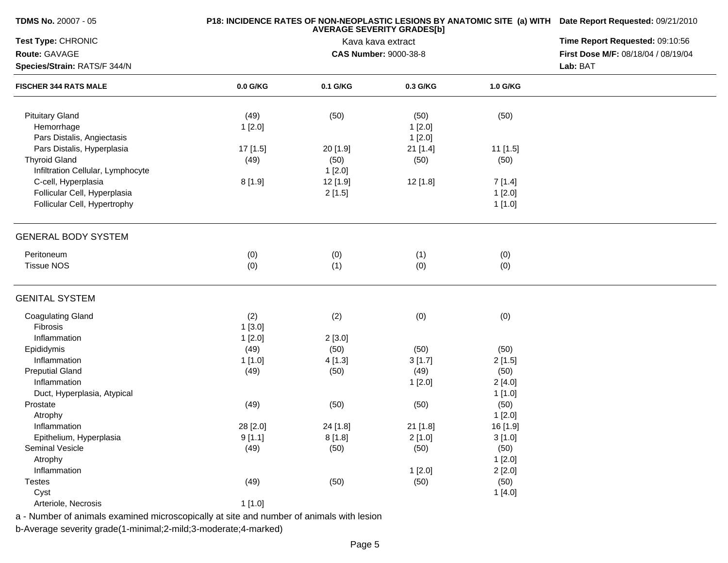| <b>TDMS No. 20007 - 05</b>        |          | P18: INCIDENCE RATES OF NON-NEOPLASTIC LESIONS BY ANATOMIC SITE (a) WITH Date Report Requested: 09/21/2010 |                              |          |                                     |  |  |
|-----------------------------------|----------|------------------------------------------------------------------------------------------------------------|------------------------------|----------|-------------------------------------|--|--|
| Test Type: CHRONIC                |          | <b>AVERAGE SEVERITY GRADES[b]</b><br>Kava kava extract                                                     |                              |          |                                     |  |  |
| Route: GAVAGE                     |          |                                                                                                            | <b>CAS Number: 9000-38-8</b> |          | First Dose M/F: 08/18/04 / 08/19/04 |  |  |
| Species/Strain: RATS/F 344/N      |          |                                                                                                            |                              |          | Lab: BAT                            |  |  |
| <b>FISCHER 344 RATS MALE</b>      | 0.0 G/KG | 0.1 G/KG                                                                                                   | 0.3 G/KG                     | 1.0 G/KG |                                     |  |  |
| <b>Pituitary Gland</b>            | (49)     | (50)                                                                                                       | (50)                         | (50)     |                                     |  |  |
| Hemorrhage                        | 1[2.0]   |                                                                                                            | 1[2.0]                       |          |                                     |  |  |
| Pars Distalis, Angiectasis        |          |                                                                                                            | 1[2.0]                       |          |                                     |  |  |
| Pars Distalis, Hyperplasia        | 17 [1.5] | 20 [1.9]                                                                                                   | 21 [1.4]                     | 11 [1.5] |                                     |  |  |
| <b>Thyroid Gland</b>              | (49)     | (50)                                                                                                       | (50)                         | (50)     |                                     |  |  |
| Infiltration Cellular, Lymphocyte |          | 1[2.0]                                                                                                     |                              |          |                                     |  |  |
| C-cell, Hyperplasia               | 8[1.9]   | 12 [1.9]                                                                                                   | 12 [1.8]                     | 7[1.4]   |                                     |  |  |
| Follicular Cell, Hyperplasia      |          | 2[1.5]                                                                                                     |                              | 1[2.0]   |                                     |  |  |
| Follicular Cell, Hypertrophy      |          |                                                                                                            |                              | 1[1.0]   |                                     |  |  |
|                                   |          |                                                                                                            |                              |          |                                     |  |  |
| <b>GENERAL BODY SYSTEM</b>        |          |                                                                                                            |                              |          |                                     |  |  |
| Peritoneum                        | (0)      | (0)                                                                                                        | (1)                          | (0)      |                                     |  |  |
| <b>Tissue NOS</b>                 | (0)      | (1)                                                                                                        | (0)                          | (0)      |                                     |  |  |
| <b>GENITAL SYSTEM</b>             |          |                                                                                                            |                              |          |                                     |  |  |
| <b>Coagulating Gland</b>          | (2)      | (2)                                                                                                        | (0)                          | (0)      |                                     |  |  |
| <b>Fibrosis</b>                   | 1[3.0]   |                                                                                                            |                              |          |                                     |  |  |
| Inflammation                      | 1[2.0]   | 2[3.0]                                                                                                     |                              |          |                                     |  |  |
| Epididymis                        | (49)     | (50)                                                                                                       | (50)                         | (50)     |                                     |  |  |
| Inflammation                      | 1[1.0]   | 4 [1.3]                                                                                                    | 3[1.7]                       | 2[1.5]   |                                     |  |  |
| <b>Preputial Gland</b>            | (49)     | (50)                                                                                                       | (49)                         | (50)     |                                     |  |  |
| Inflammation                      |          |                                                                                                            | 1[2.0]                       | 2[4.0]   |                                     |  |  |
| Duct, Hyperplasia, Atypical       |          |                                                                                                            |                              | 1[1.0]   |                                     |  |  |
| Prostate                          | (49)     | (50)                                                                                                       | (50)                         | (50)     |                                     |  |  |
| Atrophy                           |          |                                                                                                            |                              | 1[2.0]   |                                     |  |  |
| Inflammation                      | 28 [2.0] | 24 [1.8]                                                                                                   | 21 [1.8]                     | 16 [1.9] |                                     |  |  |
| Epithelium, Hyperplasia           | 9[1.1]   | 8[1.8]                                                                                                     | 2[1.0]                       | 3[1.0]   |                                     |  |  |
| Seminal Vesicle                   | (49)     | (50)                                                                                                       | (50)                         | (50)     |                                     |  |  |
| Atrophy                           |          |                                                                                                            |                              | 1[2.0]   |                                     |  |  |
| Inflammation                      |          |                                                                                                            | 1[2.0]                       | 2[2.0]   |                                     |  |  |
| <b>Testes</b>                     | (49)     | (50)                                                                                                       | (50)                         | (50)     |                                     |  |  |
| Cyst                              |          |                                                                                                            |                              | 1[4.0]   |                                     |  |  |
| Arteriole, Necrosis               | 1[1.0]   |                                                                                                            |                              |          |                                     |  |  |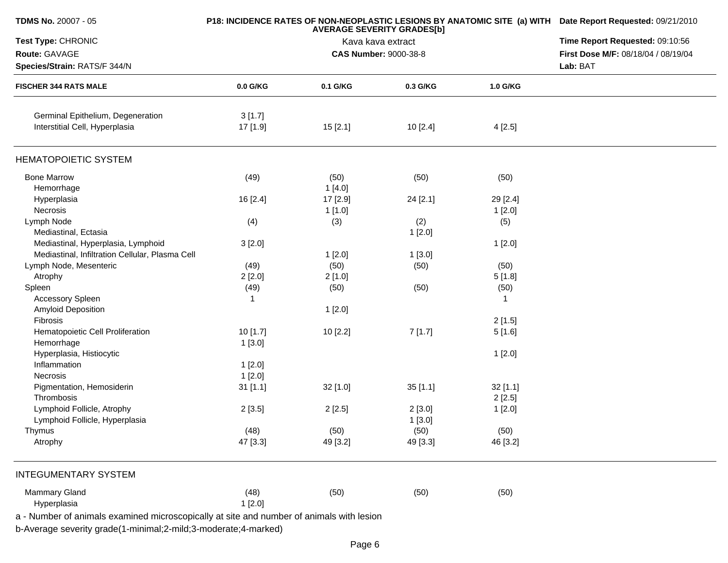| 0.0 G/KG<br>3[1.7]<br>17 [1.9]<br>(49)<br>16 [2.4]<br>(4)<br>3[2.0] | <b>AVERAGE SEVERITY GRADES[b]</b><br><b>CAS Number: 9000-38-8</b><br>0.1 G/KG<br>15[2.1]<br>(50)<br>1[4.0]<br>17 [2.9]<br>1 [1.0]<br>(3) | Kava kava extract<br>0.3 G/KG<br>10 [2.4]<br>(50)<br>24 [2.1]<br>(2) | 1.0 G/KG<br>4[2.5]<br>(50)<br>29 [2.4]<br>1[2.0]                                                                                                    | Time Report Requested: 09:10:56<br>First Dose M/F: 08/18/04 / 08/19/04<br>Lab: BAT                                         |
|---------------------------------------------------------------------|------------------------------------------------------------------------------------------------------------------------------------------|----------------------------------------------------------------------|-----------------------------------------------------------------------------------------------------------------------------------------------------|----------------------------------------------------------------------------------------------------------------------------|
|                                                                     |                                                                                                                                          |                                                                      |                                                                                                                                                     |                                                                                                                            |
|                                                                     |                                                                                                                                          |                                                                      |                                                                                                                                                     |                                                                                                                            |
|                                                                     |                                                                                                                                          |                                                                      |                                                                                                                                                     |                                                                                                                            |
|                                                                     |                                                                                                                                          |                                                                      |                                                                                                                                                     |                                                                                                                            |
|                                                                     |                                                                                                                                          |                                                                      |                                                                                                                                                     |                                                                                                                            |
|                                                                     |                                                                                                                                          |                                                                      |                                                                                                                                                     |                                                                                                                            |
|                                                                     |                                                                                                                                          |                                                                      |                                                                                                                                                     |                                                                                                                            |
|                                                                     |                                                                                                                                          |                                                                      |                                                                                                                                                     |                                                                                                                            |
|                                                                     |                                                                                                                                          |                                                                      |                                                                                                                                                     |                                                                                                                            |
|                                                                     |                                                                                                                                          |                                                                      |                                                                                                                                                     |                                                                                                                            |
|                                                                     |                                                                                                                                          |                                                                      | (5)                                                                                                                                                 |                                                                                                                            |
|                                                                     |                                                                                                                                          | 1[2.0]                                                               |                                                                                                                                                     |                                                                                                                            |
|                                                                     |                                                                                                                                          |                                                                      | 1[2.0]                                                                                                                                              |                                                                                                                            |
|                                                                     |                                                                                                                                          |                                                                      |                                                                                                                                                     |                                                                                                                            |
|                                                                     | 1[2.0]                                                                                                                                   | 1[3.0]                                                               |                                                                                                                                                     |                                                                                                                            |
| (49)                                                                | (50)                                                                                                                                     | (50)                                                                 | (50)                                                                                                                                                |                                                                                                                            |
| 2[2.0]                                                              | 2[1.0]                                                                                                                                   |                                                                      | 5[1.8]                                                                                                                                              |                                                                                                                            |
| (49)                                                                | (50)                                                                                                                                     | (50)                                                                 | (50)                                                                                                                                                |                                                                                                                            |
|                                                                     |                                                                                                                                          |                                                                      |                                                                                                                                                     |                                                                                                                            |
|                                                                     | 1[2.0]                                                                                                                                   |                                                                      |                                                                                                                                                     |                                                                                                                            |
|                                                                     |                                                                                                                                          |                                                                      | 2[1.5]                                                                                                                                              |                                                                                                                            |
| 10 [1.7]                                                            | 10 [2.2]                                                                                                                                 | 7[1.7]                                                               | 5[1.6]                                                                                                                                              |                                                                                                                            |
| 1[3.0]                                                              |                                                                                                                                          |                                                                      |                                                                                                                                                     |                                                                                                                            |
|                                                                     |                                                                                                                                          |                                                                      | 1[2.0]                                                                                                                                              |                                                                                                                            |
|                                                                     |                                                                                                                                          |                                                                      |                                                                                                                                                     |                                                                                                                            |
|                                                                     |                                                                                                                                          |                                                                      |                                                                                                                                                     |                                                                                                                            |
|                                                                     |                                                                                                                                          |                                                                      |                                                                                                                                                     |                                                                                                                            |
|                                                                     |                                                                                                                                          |                                                                      |                                                                                                                                                     |                                                                                                                            |
|                                                                     |                                                                                                                                          |                                                                      |                                                                                                                                                     |                                                                                                                            |
|                                                                     |                                                                                                                                          |                                                                      |                                                                                                                                                     |                                                                                                                            |
|                                                                     |                                                                                                                                          |                                                                      |                                                                                                                                                     |                                                                                                                            |
|                                                                     |                                                                                                                                          |                                                                      |                                                                                                                                                     |                                                                                                                            |
|                                                                     |                                                                                                                                          |                                                                      |                                                                                                                                                     |                                                                                                                            |
|                                                                     |                                                                                                                                          |                                                                      |                                                                                                                                                     |                                                                                                                            |
|                                                                     |                                                                                                                                          |                                                                      |                                                                                                                                                     |                                                                                                                            |
|                                                                     |                                                                                                                                          |                                                                      |                                                                                                                                                     |                                                                                                                            |
|                                                                     |                                                                                                                                          |                                                                      |                                                                                                                                                     |                                                                                                                            |
|                                                                     | 1[2.0]<br>1[2.0]<br>$31$ [1.1]<br>2[3.5]<br>(48)<br>47 [3.3]<br>(48)<br>1[2.0]                                                           | 32 [1.0]<br>2[2.5]<br>(50)<br>49 [3.2]<br>(50)                       | 35[1.1]<br>2[3.0]<br>1[3.0]<br>(50)<br>49 [3.3]<br>(50)<br>a - Number of animals examined microscopically at site and number of animals with lesion | 32 [1.1]<br>2[2.5]<br>1[2.0]<br>(50)<br>46 [3.2]<br>(50)<br>b-Average severity grade(1-minimal;2-mild;3-moderate;4-marked) |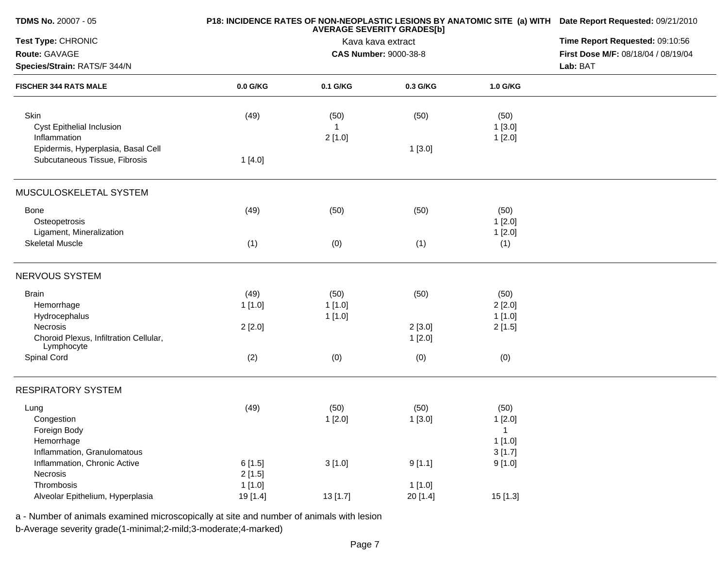| TDMS No. 20007 - 05                                  |          | P18: INCIDENCE RATES OF NON-NEOPLASTIC LESIONS BY ANATOMIC SITE (a) WITH Date Report Requested: 09/21/2010 |                              |                |                                     |  |  |
|------------------------------------------------------|----------|------------------------------------------------------------------------------------------------------------|------------------------------|----------------|-------------------------------------|--|--|
| Test Type: CHRONIC                                   |          | <b>AVERAGE SEVERITY GRADES[b]</b><br>Kava kava extract                                                     |                              |                |                                     |  |  |
| Route: GAVAGE                                        |          |                                                                                                            | <b>CAS Number: 9000-38-8</b> |                | First Dose M/F: 08/18/04 / 08/19/04 |  |  |
| Species/Strain: RATS/F 344/N                         |          |                                                                                                            |                              |                | Lab: BAT                            |  |  |
| <b>FISCHER 344 RATS MALE</b>                         | 0.0 G/KG | 0.1 G/KG                                                                                                   | 0.3 G/KG                     | 1.0 G/KG       |                                     |  |  |
| Skin<br>Cyst Epithelial Inclusion                    | (49)     | (50)<br>$\overline{1}$                                                                                     | (50)                         | (50)<br>1[3.0] |                                     |  |  |
| Inflammation                                         |          | 2[1.0]                                                                                                     |                              | 1[2.0]         |                                     |  |  |
| Epidermis, Hyperplasia, Basal Cell                   |          |                                                                                                            | 1[3.0]                       |                |                                     |  |  |
| Subcutaneous Tissue, Fibrosis                        | 1[4.0]   |                                                                                                            |                              |                |                                     |  |  |
| MUSCULOSKELETAL SYSTEM                               |          |                                                                                                            |                              |                |                                     |  |  |
| <b>Bone</b>                                          | (49)     | (50)                                                                                                       | (50)                         | (50)           |                                     |  |  |
| Osteopetrosis                                        |          |                                                                                                            |                              | 1[2.0]         |                                     |  |  |
| Ligament, Mineralization                             |          |                                                                                                            |                              | 1[2.0]         |                                     |  |  |
| <b>Skeletal Muscle</b>                               | (1)      | (0)                                                                                                        | (1)                          | (1)            |                                     |  |  |
| <b>NERVOUS SYSTEM</b>                                |          |                                                                                                            |                              |                |                                     |  |  |
| <b>Brain</b>                                         | (49)     | (50)                                                                                                       | (50)                         | (50)           |                                     |  |  |
| Hemorrhage                                           | 1[1.0]   | 1[1.0]                                                                                                     |                              | 2[2.0]         |                                     |  |  |
| Hydrocephalus                                        |          | 1[1.0]                                                                                                     |                              | 1[1.0]         |                                     |  |  |
| Necrosis                                             | 2[2.0]   |                                                                                                            | 2[3.0]                       | 2[1.5]         |                                     |  |  |
| Choroid Plexus, Infiltration Cellular,<br>Lymphocyte |          |                                                                                                            | 1[2.0]                       |                |                                     |  |  |
| Spinal Cord                                          | (2)      | (0)                                                                                                        | (0)                          | (0)            |                                     |  |  |
| <b>RESPIRATORY SYSTEM</b>                            |          |                                                                                                            |                              |                |                                     |  |  |
| Lung                                                 | (49)     | (50)                                                                                                       | (50)                         | (50)           |                                     |  |  |
| Congestion                                           |          | 1[2.0]                                                                                                     | 1[3.0]                       | 1[2.0]         |                                     |  |  |
| Foreign Body                                         |          |                                                                                                            |                              | $\mathbf{1}$   |                                     |  |  |
| Hemorrhage                                           |          |                                                                                                            |                              | 1[1.0]         |                                     |  |  |
| Inflammation, Granulomatous                          |          |                                                                                                            |                              | 3[1.7]         |                                     |  |  |
| Inflammation, Chronic Active                         | 6[1.5]   | 3[1.0]                                                                                                     | 9[1.1]                       | 9[1.0]         |                                     |  |  |
| Necrosis                                             | 2[1.5]   |                                                                                                            |                              |                |                                     |  |  |
| Thrombosis                                           | 1[1.0]   |                                                                                                            | 1[1.0]                       |                |                                     |  |  |
| Alveolar Epithelium, Hyperplasia                     | 19 [1.4] | 13 [1.7]                                                                                                   | 20 [1.4]                     | 15 [1.3]       |                                     |  |  |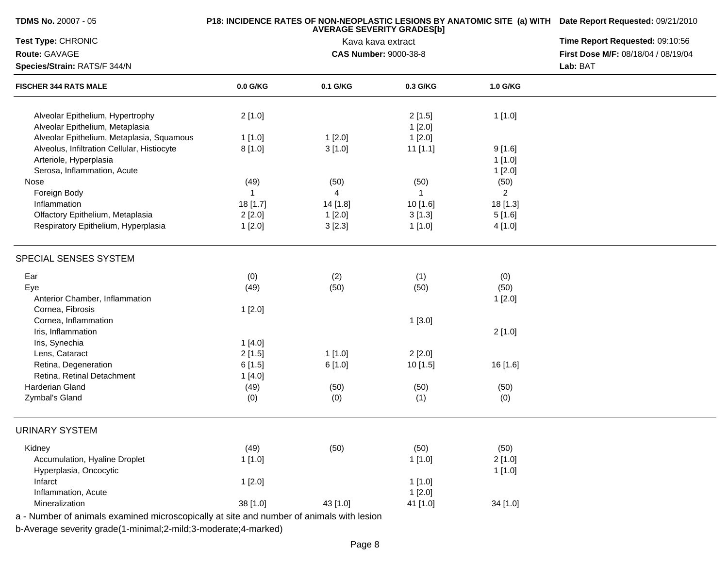| <b>TDMS No. 20007 - 05</b>                                            |              | P18: INCIDENCE RATES OF NON-NEOPLASTIC LESIONS BY ANATOMIC SITE (a) WITH Date Report Requested: 09/21/2010<br>Time Report Requested: 09:10:56 |                              |                  |                                     |
|-----------------------------------------------------------------------|--------------|-----------------------------------------------------------------------------------------------------------------------------------------------|------------------------------|------------------|-------------------------------------|
| Test Type: CHRONIC                                                    |              |                                                                                                                                               |                              |                  |                                     |
| Route: GAVAGE                                                         |              |                                                                                                                                               | <b>CAS Number: 9000-38-8</b> |                  | First Dose M/F: 08/18/04 / 08/19/04 |
| Species/Strain: RATS/F 344/N                                          |              |                                                                                                                                               |                              |                  | Lab: BAT                            |
| <b>FISCHER 344 RATS MALE</b>                                          | 0.0 G/KG     | 0.1 G/KG                                                                                                                                      | 0.3 G/KG                     | 1.0 G/KG         |                                     |
| Alveolar Epithelium, Hypertrophy<br>Alveolar Epithelium, Metaplasia   | 2[1.0]       |                                                                                                                                               | 2[1.5]<br>1[2.0]             | 1[1.0]           |                                     |
| Alveolar Epithelium, Metaplasia, Squamous                             | 1[1.0]       | 1[2.0]                                                                                                                                        | 1[2.0]                       |                  |                                     |
| Alveolus, Infiltration Cellular, Histiocyte<br>Arteriole, Hyperplasia | 8[1.0]       | 3[1.0]                                                                                                                                        | $11$ [1.1]                   | 9[1.6]<br>1[1.0] |                                     |
| Serosa, Inflammation, Acute                                           |              |                                                                                                                                               |                              | 1[2.0]           |                                     |
| Nose                                                                  | (49)         | (50)                                                                                                                                          | (50)                         | (50)             |                                     |
| Foreign Body                                                          | $\mathbf{1}$ | $\overline{4}$                                                                                                                                | $\mathbf{1}$                 | $\overline{2}$   |                                     |
| Inflammation                                                          | 18 [1.7]     | 14 [1.8]                                                                                                                                      | 10 [1.6]                     | 18 [1.3]         |                                     |
| Olfactory Epithelium, Metaplasia                                      | 2[2.0]       | 1[2.0]                                                                                                                                        | 3[1.3]                       | 5[1.6]           |                                     |
| Respiratory Epithelium, Hyperplasia                                   | 1[2.0]       | 3[2.3]                                                                                                                                        | 1[1.0]                       | 4 [1.0]          |                                     |
| SPECIAL SENSES SYSTEM                                                 |              |                                                                                                                                               |                              |                  |                                     |
| Ear                                                                   | (0)          | (2)                                                                                                                                           | (1)                          | (0)              |                                     |
| Eye<br>Anterior Chamber, Inflammation                                 | (49)         | (50)                                                                                                                                          | (50)                         | (50)<br>1[2.0]   |                                     |
| Cornea, Fibrosis                                                      | 1[2.0]       |                                                                                                                                               |                              |                  |                                     |
| Cornea, Inflammation                                                  |              |                                                                                                                                               | 1[3.0]                       |                  |                                     |
| Iris, Inflammation                                                    |              |                                                                                                                                               |                              | 2[1.0]           |                                     |
| Iris, Synechia                                                        | 1[4.0]       |                                                                                                                                               |                              |                  |                                     |
| Lens, Cataract                                                        | 2[1.5]       | 1[1.0]                                                                                                                                        | 2[2.0]                       |                  |                                     |
| Retina, Degeneration                                                  | 6[1.5]       | 6[1.0]                                                                                                                                        | 10 [1.5]                     | 16 [1.6]         |                                     |
| Retina, Retinal Detachment                                            | 1[4.0]       |                                                                                                                                               |                              |                  |                                     |
| Harderian Gland                                                       | (49)         | (50)                                                                                                                                          | (50)                         | (50)             |                                     |
| Zymbal's Gland                                                        | (0)          | (0)                                                                                                                                           | (1)                          | (0)              |                                     |
| <b>URINARY SYSTEM</b>                                                 |              |                                                                                                                                               |                              |                  |                                     |
| Kidney                                                                | (49)         | (50)                                                                                                                                          | (50)                         | (50)             |                                     |
| Accumulation, Hyaline Droplet                                         | 1[1.0]       |                                                                                                                                               | 1[1.0]                       | 2[1.0]           |                                     |
| Hyperplasia, Oncocytic                                                |              |                                                                                                                                               |                              | 1[1.0]           |                                     |
| Infarct                                                               | 1[2.0]       |                                                                                                                                               | 1[1.0]                       |                  |                                     |
| Inflammation, Acute                                                   |              |                                                                                                                                               | 1[2.0]                       |                  |                                     |
| Mineralization                                                        | 38 [1.0]     | 43 [1.0]                                                                                                                                      | 41 [1.0]                     | 34 [1.0]         |                                     |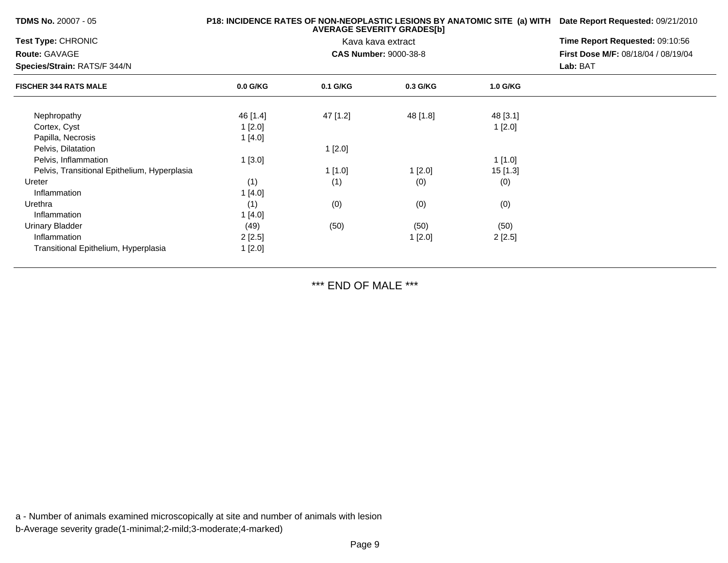| <b>TDMS No. 20007 - 05</b>                   |            | P18: INCIDENCE RATES OF NON-NEOPLASTIC LESIONS BY ANATOMIC SITE (a) WITH Date Report Requested: 09/21/2010 |                              |          |                                     |
|----------------------------------------------|------------|------------------------------------------------------------------------------------------------------------|------------------------------|----------|-------------------------------------|
| Test Type: CHRONIC                           |            |                                                                                                            | Kava kava extract            |          | Time Report Requested: 09:10:56     |
| <b>Route: GAVAGE</b>                         |            |                                                                                                            | <b>CAS Number: 9000-38-8</b> |          | First Dose M/F: 08/18/04 / 08/19/04 |
| Species/Strain: RATS/F 344/N                 |            |                                                                                                            |                              |          | Lab: BAT                            |
| <b>FISCHER 344 RATS MALE</b>                 | $0.0$ G/KG | 0.1 G/KG                                                                                                   | 0.3 G/KG                     | 1.0 G/KG |                                     |
| Nephropathy                                  | 46 [1.4]   | 47 [1.2]                                                                                                   | 48 [1.8]                     | 48 [3.1] |                                     |
| Cortex, Cyst                                 | 1[2.0]     |                                                                                                            |                              | 1[2.0]   |                                     |
| Papilla, Necrosis                            | 1[4.0]     |                                                                                                            |                              |          |                                     |
| Pelvis, Dilatation                           |            | 1[2.0]                                                                                                     |                              |          |                                     |
| Pelvis, Inflammation                         | 1[3.0]     |                                                                                                            |                              | 1[1.0]   |                                     |
| Pelvis, Transitional Epithelium, Hyperplasia |            | 1 [1.0]                                                                                                    | 1[2.0]                       | 15 [1.3] |                                     |
| Ureter                                       | (1)        | (1)                                                                                                        | (0)                          | (0)      |                                     |
| Inflammation                                 | 1 [4.0]    |                                                                                                            |                              |          |                                     |
| Urethra                                      | (1)        | (0)                                                                                                        | (0)                          | (0)      |                                     |
| Inflammation                                 | 1 [4.0]    |                                                                                                            |                              |          |                                     |
| <b>Urinary Bladder</b>                       | (49)       | (50)                                                                                                       | (50)                         | (50)     |                                     |
| Inflammation                                 | 2[2.5]     |                                                                                                            | 1[2.0]                       | 2[2.5]   |                                     |
| Transitional Epithelium, Hyperplasia         | 1[2.0]     |                                                                                                            |                              |          |                                     |

\*\*\* END OF MALE \*\*\*

a - Number of animals examined microscopically at site and number of animals with lesionb-Average severity grade(1-minimal;2-mild;3-moderate;4-marked)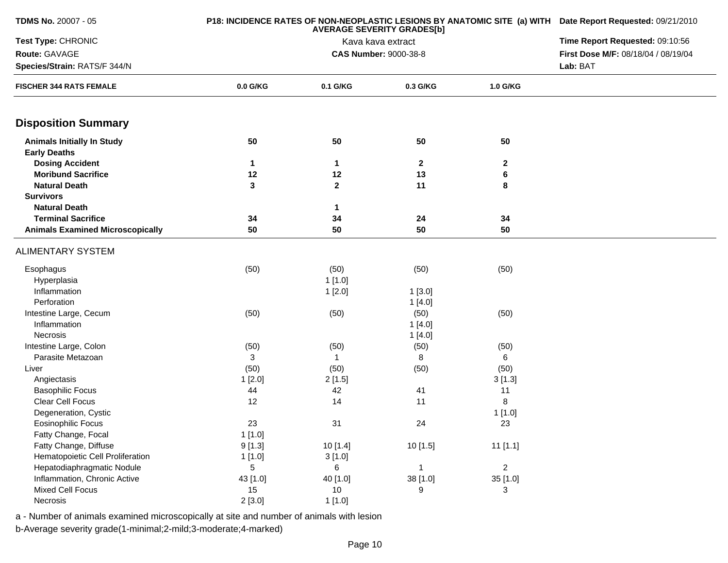| TDMS No. 20007 - 05                                      |            | P18: INCIDENCE RATES OF NON-NEOPLASTIC LESIONS BY ANATOMIC SITE (a) WITH Date Report Requested: 09/21/2010 |                              |                |                                     |  |
|----------------------------------------------------------|------------|------------------------------------------------------------------------------------------------------------|------------------------------|----------------|-------------------------------------|--|
| Test Type: CHRONIC                                       |            | Kava kava extract                                                                                          |                              |                |                                     |  |
| Route: GAVAGE                                            |            |                                                                                                            | <b>CAS Number: 9000-38-8</b> |                | First Dose M/F: 08/18/04 / 08/19/04 |  |
| Species/Strain: RATS/F 344/N                             |            |                                                                                                            |                              |                | Lab: BAT                            |  |
| <b>FISCHER 344 RATS FEMALE</b>                           | 0.0 G/KG   | 0.1 G/KG                                                                                                   | 0.3 G/KG                     | 1.0 G/KG       |                                     |  |
| <b>Disposition Summary</b>                               |            |                                                                                                            |                              |                |                                     |  |
| <b>Animals Initially In Study</b><br><b>Early Deaths</b> | 50         | 50                                                                                                         | 50                           | 50             |                                     |  |
| <b>Dosing Accident</b>                                   | 1          | $\mathbf{1}$                                                                                               | $\mathbf{2}$                 | $\mathbf 2$    |                                     |  |
| <b>Moribund Sacrifice</b>                                | 12         | 12                                                                                                         | 13                           | 6              |                                     |  |
| <b>Natural Death</b>                                     | 3          | $\mathbf{2}$                                                                                               | 11                           | 8              |                                     |  |
| <b>Survivors</b>                                         |            |                                                                                                            |                              |                |                                     |  |
| <b>Natural Death</b>                                     |            | $\mathbf{1}$                                                                                               |                              |                |                                     |  |
| <b>Terminal Sacrifice</b>                                | 34         | 34                                                                                                         | 24                           | 34             |                                     |  |
| <b>Animals Examined Microscopically</b>                  | 50         | 50                                                                                                         | 50                           | 50             |                                     |  |
| <b>ALIMENTARY SYSTEM</b>                                 |            |                                                                                                            |                              |                |                                     |  |
| Esophagus                                                | (50)       | (50)                                                                                                       | (50)                         | (50)           |                                     |  |
| Hyperplasia                                              |            | 1[1.0]                                                                                                     |                              |                |                                     |  |
| Inflammation                                             |            | 1[2.0]                                                                                                     | 1[3.0]                       |                |                                     |  |
| Perforation                                              |            |                                                                                                            | 1[4.0]                       |                |                                     |  |
| Intestine Large, Cecum                                   | (50)       | (50)                                                                                                       | (50)                         | (50)           |                                     |  |
| Inflammation                                             |            |                                                                                                            | 1[4.0]                       |                |                                     |  |
| Necrosis                                                 |            |                                                                                                            | 1[4.0]                       |                |                                     |  |
| Intestine Large, Colon                                   | (50)       | (50)                                                                                                       | (50)                         | (50)           |                                     |  |
| Parasite Metazoan                                        | 3          | $\mathbf{1}$                                                                                               | 8                            | 6              |                                     |  |
| Liver                                                    | (50)       | (50)                                                                                                       | (50)                         | (50)           |                                     |  |
| Angiectasis                                              | 1[2.0]     | 2[1.5]                                                                                                     |                              | 3[1.3]         |                                     |  |
| <b>Basophilic Focus</b>                                  | 44         | 42                                                                                                         | 41                           | 11             |                                     |  |
| Clear Cell Focus                                         | 12         | 14                                                                                                         | 11                           | 8              |                                     |  |
| Degeneration, Cystic                                     |            |                                                                                                            |                              | 1[1.0]         |                                     |  |
| Eosinophilic Focus                                       | 23         | 31                                                                                                         | 24                           | 23             |                                     |  |
| Fatty Change, Focal                                      | 1[1.0]     |                                                                                                            |                              |                |                                     |  |
| Fatty Change, Diffuse                                    | 9[1.3]     | 10 [1.4]                                                                                                   | 10 [1.5]                     | 11[1.1]        |                                     |  |
| Hematopoietic Cell Proliferation                         | 1[1.0]     | 3[1.0]                                                                                                     |                              |                |                                     |  |
| Hepatodiaphragmatic Nodule                               | $\sqrt{5}$ | 6                                                                                                          | $\mathbf{1}$                 | $\overline{2}$ |                                     |  |
| Inflammation, Chronic Active                             | 43 [1.0]   | 40 [1.0]                                                                                                   | 38 [1.0]                     | 35 [1.0]       |                                     |  |
| Mixed Cell Focus                                         | 15         | 10                                                                                                         | 9                            | 3              |                                     |  |
| Necrosis                                                 | 2[3.0]     | 1[1.0]                                                                                                     |                              |                |                                     |  |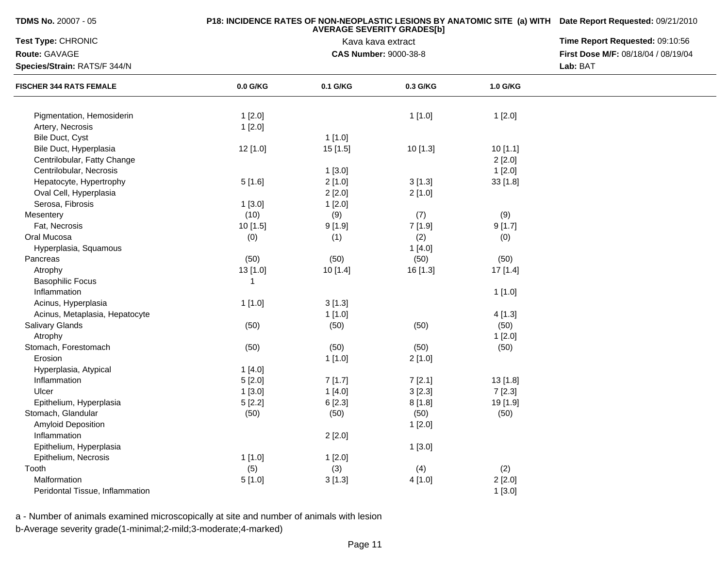**TDMS No.** 20007 - 05

## **P18: INCIDENCE RATES OF NON-NEOPLASTIC LESIONS BY ANATOMIC SITE (a) WITH AVERAGE SEVERITY GRADES[b] Date Report Requested:** 09/21/2010

| Test Type: CHRONIC              |              | Kava kava extract            | Time Report Requested: 09:10:56<br>First Dose M/F: 08/18/04 / 08/19/04 |          |  |
|---------------------------------|--------------|------------------------------|------------------------------------------------------------------------|----------|--|
| Route: GAVAGE                   |              | <b>CAS Number: 9000-38-8</b> |                                                                        |          |  |
| Species/Strain: RATS/F 344/N    |              |                              |                                                                        | Lab: BAT |  |
| <b>FISCHER 344 RATS FEMALE</b>  | 0.0 G/KG     | 0.1 G/KG                     | 0.3 G/KG                                                               | 1.0 G/KG |  |
|                                 |              |                              |                                                                        |          |  |
| Pigmentation, Hemosiderin       | 1[2.0]       |                              | 1[1.0]                                                                 | 1[2.0]   |  |
| Artery, Necrosis                | 1[2.0]       |                              |                                                                        |          |  |
| Bile Duct, Cyst                 |              | 1[1.0]                       |                                                                        |          |  |
| Bile Duct, Hyperplasia          | 12 [1.0]     | 15 [1.5]                     | 10 [1.3]                                                               | 10[1.1]  |  |
| Centrilobular, Fatty Change     |              |                              |                                                                        | 2[2.0]   |  |
| Centrilobular, Necrosis         |              | 1[3.0]                       |                                                                        | 1[2.0]   |  |
| Hepatocyte, Hypertrophy         | 5[1.6]       | 2[1.0]                       | 3[1.3]                                                                 | 33 [1.8] |  |
| Oval Cell, Hyperplasia          |              | 2[2.0]                       | 2[1.0]                                                                 |          |  |
| Serosa, Fibrosis                | 1[3.0]       | 1[2.0]                       |                                                                        |          |  |
| Mesentery                       | (10)         | (9)                          | (7)                                                                    | (9)      |  |
| Fat, Necrosis                   | 10 [1.5]     | 9[1.9]                       | 7[1.9]                                                                 | 9[1.7]   |  |
| Oral Mucosa                     | (0)          | (1)                          | (2)                                                                    | (0)      |  |
| Hyperplasia, Squamous           |              |                              | 1[4.0]                                                                 |          |  |
| Pancreas                        | (50)         | (50)                         | (50)                                                                   | (50)     |  |
| Atrophy                         | 13 [1.0]     | 10 [1.4]                     | 16 [1.3]                                                               | 17 [1.4] |  |
| <b>Basophilic Focus</b>         | $\mathbf{1}$ |                              |                                                                        |          |  |
| Inflammation                    |              |                              |                                                                        | 1[1.0]   |  |
| Acinus, Hyperplasia             | 1[1.0]       | 3[1.3]                       |                                                                        |          |  |
| Acinus, Metaplasia, Hepatocyte  |              | 1[1.0]                       |                                                                        | 4[1.3]   |  |
| Salivary Glands                 | (50)         | (50)                         | (50)                                                                   | (50)     |  |
| Atrophy                         |              |                              |                                                                        | 1[2.0]   |  |
| Stomach, Forestomach            | (50)         | (50)                         | (50)                                                                   | (50)     |  |
| Erosion                         |              | 1[1.0]                       | 2[1.0]                                                                 |          |  |
| Hyperplasia, Atypical           | 1[4.0]       |                              |                                                                        |          |  |
| Inflammation                    | 5[2.0]       | 7[1.7]                       | 7[2.1]                                                                 | 13 [1.8] |  |
| Ulcer                           | 1[3.0]       | 1[4.0]                       | 3[2.3]                                                                 | 7[2.3]   |  |
| Epithelium, Hyperplasia         | 5[2.2]       | 6[2.3]                       | 8[1.8]                                                                 | 19 [1.9] |  |
| Stomach, Glandular              | (50)         | (50)                         | (50)                                                                   | (50)     |  |
| Amyloid Deposition              |              |                              | 1[2.0]                                                                 |          |  |
| Inflammation                    |              | 2[2.0]                       |                                                                        |          |  |
| Epithelium, Hyperplasia         |              |                              | 1[3.0]                                                                 |          |  |
| Epithelium, Necrosis            | 1[1.0]       | 1[2.0]                       |                                                                        |          |  |
| Tooth                           | (5)          | (3)                          | (4)                                                                    | (2)      |  |
| Malformation                    | 5[1.0]       | 3[1.3]                       | 4[1.0]                                                                 | 2[2.0]   |  |
| Peridontal Tissue, Inflammation |              |                              |                                                                        | 1[3.0]   |  |
|                                 |              |                              |                                                                        |          |  |

a - Number of animals examined microscopically at site and number of animals with lesionb-Average severity grade(1-minimal;2-mild;3-moderate;4-marked)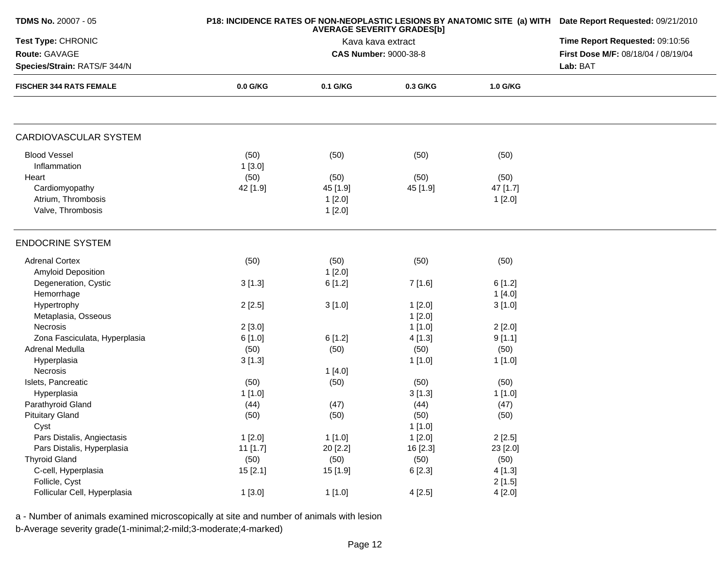| <b>TDMS No. 20007 - 05</b>     |          | P18: INCIDENCE RATES OF NON-NEOPLASTIC LESIONS BY ANATOMIC SITE (a) WITH Date Report Requested: 09/21/2010 |                              |          |                                     |
|--------------------------------|----------|------------------------------------------------------------------------------------------------------------|------------------------------|----------|-------------------------------------|
| Test Type: CHRONIC             |          | Time Report Requested: 09:10:56                                                                            |                              |          |                                     |
| Route: GAVAGE                  |          |                                                                                                            | <b>CAS Number: 9000-38-8</b> |          | First Dose M/F: 08/18/04 / 08/19/04 |
| Species/Strain: RATS/F 344/N   |          |                                                                                                            |                              |          | Lab: BAT                            |
| <b>FISCHER 344 RATS FEMALE</b> | 0.0 G/KG | 0.1 G/KG                                                                                                   | 0.3 G/KG                     | 1.0 G/KG |                                     |
|                                |          |                                                                                                            |                              |          |                                     |
| CARDIOVASCULAR SYSTEM          |          |                                                                                                            |                              |          |                                     |
| <b>Blood Vessel</b>            | (50)     | (50)                                                                                                       | (50)                         | (50)     |                                     |
| Inflammation                   | 1[3.0]   |                                                                                                            |                              |          |                                     |
| Heart                          | (50)     | (50)                                                                                                       | (50)                         | (50)     |                                     |
| Cardiomyopathy                 | 42 [1.9] | 45 [1.9]                                                                                                   | 45 [1.9]                     | 47 [1.7] |                                     |
| Atrium, Thrombosis             |          | 1[2.0]                                                                                                     |                              | 1[2.0]   |                                     |
| Valve, Thrombosis              |          | 1[2.0]                                                                                                     |                              |          |                                     |
| <b>ENDOCRINE SYSTEM</b>        |          |                                                                                                            |                              |          |                                     |
| <b>Adrenal Cortex</b>          | (50)     | (50)                                                                                                       | (50)                         | (50)     |                                     |
| Amyloid Deposition             |          | 1[2.0]                                                                                                     |                              |          |                                     |
| Degeneration, Cystic           | 3[1.3]   | 6[1.2]                                                                                                     | 7 [1.6]                      | 6[1.2]   |                                     |
| Hemorrhage                     |          |                                                                                                            |                              | 1[4.0]   |                                     |
| Hypertrophy                    | 2[2.5]   | 3[1.0]                                                                                                     | 1[2.0]                       | 3[1.0]   |                                     |
| Metaplasia, Osseous            |          |                                                                                                            | 1[2.0]                       |          |                                     |
| Necrosis                       | 2[3.0]   |                                                                                                            | 1[1.0]                       | 2[2.0]   |                                     |
| Zona Fasciculata, Hyperplasia  | 6 [1.0]  | 6[1.2]                                                                                                     | 4[1.3]                       | 9[1.1]   |                                     |
| Adrenal Medulla                | (50)     | (50)                                                                                                       | (50)                         | (50)     |                                     |
| Hyperplasia                    | 3[1.3]   |                                                                                                            | 1[1.0]                       | 1[1.0]   |                                     |
| Necrosis                       |          | 1[4.0]                                                                                                     |                              |          |                                     |
| Islets, Pancreatic             | (50)     | (50)                                                                                                       | (50)                         | (50)     |                                     |
| Hyperplasia                    | 1[1.0]   |                                                                                                            | 3[1.3]                       | 1[1.0]   |                                     |
| Parathyroid Gland              | (44)     | (47)                                                                                                       | (44)                         | (47)     |                                     |
| <b>Pituitary Gland</b>         | (50)     | (50)                                                                                                       | (50)                         | (50)     |                                     |
| Cyst                           |          |                                                                                                            | 1[1.0]                       |          |                                     |
| Pars Distalis, Angiectasis     | 1[2.0]   | 1[1.0]                                                                                                     | 1[2.0]                       | 2[2.5]   |                                     |
| Pars Distalis, Hyperplasia     | 11 [1.7] | 20 [2.2]                                                                                                   | 16 [2.3]                     | 23 [2.0] |                                     |
| <b>Thyroid Gland</b>           | (50)     | (50)                                                                                                       | (50)                         | (50)     |                                     |
| C-cell, Hyperplasia            | 15[2.1]  | 15 [1.9]                                                                                                   | 6 [2.3]                      | 4[1.3]   |                                     |
| Follicle, Cyst                 |          |                                                                                                            |                              | 2[1.5]   |                                     |
| Follicular Cell, Hyperplasia   | 1[3.0]   | 1[1.0]                                                                                                     | 4[2.5]                       | 4[2.0]   |                                     |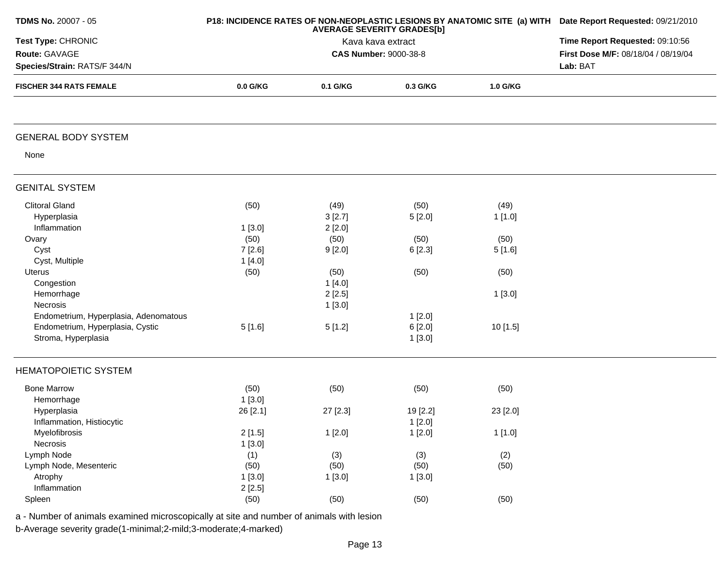| TDMS No. 20007 - 05                                            |          | P18: INCIDENCE RATES OF NON-NEOPLASTIC LESIONS BY ANATOMIC SITE (a) WITH Date Report Requested: 09/21/2010<br>Time Report Requested: 09:10:56 |                              |          |                                     |
|----------------------------------------------------------------|----------|-----------------------------------------------------------------------------------------------------------------------------------------------|------------------------------|----------|-------------------------------------|
| Test Type: CHRONIC                                             |          |                                                                                                                                               |                              |          |                                     |
| Route: GAVAGE                                                  |          |                                                                                                                                               | <b>CAS Number: 9000-38-8</b> |          | First Dose M/F: 08/18/04 / 08/19/04 |
| Species/Strain: RATS/F 344/N<br><b>FISCHER 344 RATS FEMALE</b> |          |                                                                                                                                               | Lab: BAT                     |          |                                     |
|                                                                | 0.0 G/KG | 0.1 G/KG                                                                                                                                      | 0.3 G/KG                     | 1.0 G/KG |                                     |
| <b>GENERAL BODY SYSTEM</b>                                     |          |                                                                                                                                               |                              |          |                                     |
| None                                                           |          |                                                                                                                                               |                              |          |                                     |
| <b>GENITAL SYSTEM</b>                                          |          |                                                                                                                                               |                              |          |                                     |
| <b>Clitoral Gland</b>                                          | (50)     | (49)                                                                                                                                          | (50)                         | (49)     |                                     |
| Hyperplasia                                                    |          | 3[2.7]                                                                                                                                        | 5[2.0]                       | 1[1.0]   |                                     |
| Inflammation                                                   | 1[3.0]   | 2[2.0]                                                                                                                                        |                              |          |                                     |
| Ovary                                                          | (50)     | (50)                                                                                                                                          | (50)                         | (50)     |                                     |
| Cyst                                                           | 7[2.6]   | 9[2.0]                                                                                                                                        | 6[2.3]                       | 5[1.6]   |                                     |
| Cyst, Multiple                                                 | 1[4.0]   |                                                                                                                                               |                              |          |                                     |
| Uterus                                                         | (50)     | (50)                                                                                                                                          | (50)                         | (50)     |                                     |
| Congestion                                                     |          | 1[4.0]                                                                                                                                        |                              |          |                                     |
| Hemorrhage                                                     |          | 2[2.5]                                                                                                                                        |                              | 1[3.0]   |                                     |
| Necrosis                                                       |          | 1[3.0]                                                                                                                                        |                              |          |                                     |
| Endometrium, Hyperplasia, Adenomatous                          |          |                                                                                                                                               | 1[2.0]                       |          |                                     |
| Endometrium, Hyperplasia, Cystic                               | 5[1.6]   | 5[1.2]                                                                                                                                        | 6[2.0]                       | 10 [1.5] |                                     |
| Stroma, Hyperplasia                                            |          |                                                                                                                                               | 1[3.0]                       |          |                                     |
| <b>HEMATOPOIETIC SYSTEM</b>                                    |          |                                                                                                                                               |                              |          |                                     |
| <b>Bone Marrow</b>                                             | (50)     | (50)                                                                                                                                          | (50)                         | (50)     |                                     |
| Hemorrhage                                                     | 1[3.0]   |                                                                                                                                               |                              |          |                                     |
| Hyperplasia                                                    | 26 [2.1] | 27 [2.3]                                                                                                                                      | 19 [2.2]                     | 23 [2.0] |                                     |
| Inflammation, Histiocytic                                      |          |                                                                                                                                               | 1[2.0]                       |          |                                     |
| Myelofibrosis                                                  | 2[1.5]   | 1[2.0]                                                                                                                                        | 1[2.0]                       | 1[1.0]   |                                     |
| Necrosis                                                       | 1[3.0]   |                                                                                                                                               |                              |          |                                     |
| Lymph Node                                                     | (1)      | (3)                                                                                                                                           | (3)                          | (2)      |                                     |
| Lymph Node, Mesenteric                                         | (50)     | (50)                                                                                                                                          | (50)                         | (50)     |                                     |
| Atrophy                                                        | 1[3.0]   | 1[3.0]                                                                                                                                        | 1[3.0]                       |          |                                     |
| Inflammation                                                   | 2[2.5]   |                                                                                                                                               |                              |          |                                     |
| Spleen                                                         | (50)     | (50)                                                                                                                                          | (50)                         | (50)     |                                     |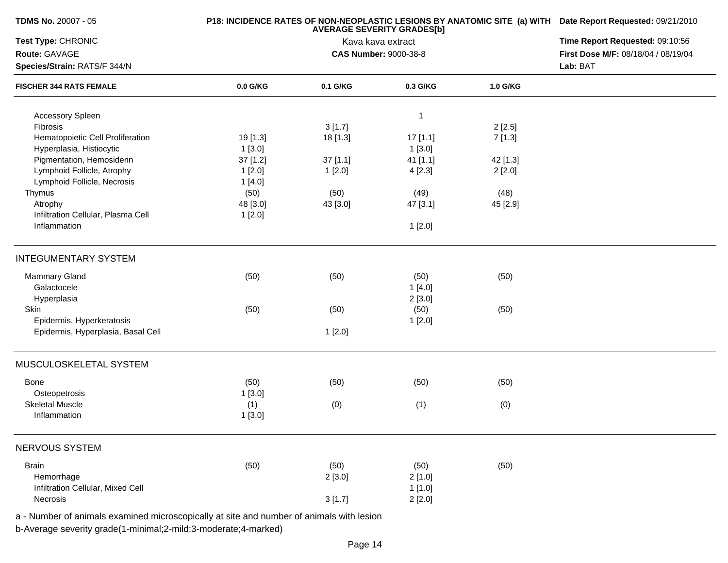| <b>TDMS No. 20007 - 05</b>                                     |          | P18: INCIDENCE RATES OF NON-NEOPLASTIC LESIONS BY ANATOMIC SITE (a) WITH Date Report Requested: 09/21/2010 |                              |          |                                     |  |
|----------------------------------------------------------------|----------|------------------------------------------------------------------------------------------------------------|------------------------------|----------|-------------------------------------|--|
| Test Type: CHRONIC                                             |          | <b>AVERAGE SEVERITY GRADES[b]</b><br>Kava kava extract                                                     |                              |          |                                     |  |
| Route: GAVAGE                                                  |          |                                                                                                            | <b>CAS Number: 9000-38-8</b> |          | First Dose M/F: 08/18/04 / 08/19/04 |  |
| Species/Strain: RATS/F 344/N<br><b>FISCHER 344 RATS FEMALE</b> |          |                                                                                                            |                              |          |                                     |  |
|                                                                | 0.0 G/KG | 0.1 G/KG                                                                                                   | 0.3 G/KG                     | 1.0 G/KG |                                     |  |
| Accessory Spleen                                               |          |                                                                                                            | -1                           |          |                                     |  |
| Fibrosis                                                       |          | 3[1.7]                                                                                                     |                              | 2[2.5]   |                                     |  |
| Hematopoietic Cell Proliferation                               | 19 [1.3] | 18 [1.3]                                                                                                   | 17[1.1]                      | 7[1.3]   |                                     |  |
| Hyperplasia, Histiocytic                                       | 1[3.0]   |                                                                                                            | 1[3.0]                       |          |                                     |  |
| Pigmentation, Hemosiderin                                      | 37 [1.2] | 37[1.1]                                                                                                    | 41 [1.1]                     | 42 [1.3] |                                     |  |
| Lymphoid Follicle, Atrophy                                     | 1[2.0]   | 1[2.0]                                                                                                     | 4 [2.3]                      | 2[2.0]   |                                     |  |
| Lymphoid Follicle, Necrosis                                    | 1[4.0]   |                                                                                                            |                              |          |                                     |  |
| Thymus                                                         | (50)     | (50)                                                                                                       | (49)                         | (48)     |                                     |  |
| Atrophy                                                        | 48 [3.0] | 43 [3.0]                                                                                                   | 47 [3.1]                     | 45 [2.9] |                                     |  |
| Infiltration Cellular, Plasma Cell                             | 1[2.0]   |                                                                                                            |                              |          |                                     |  |
| Inflammation                                                   |          |                                                                                                            | 1[2.0]                       |          |                                     |  |
| <b>INTEGUMENTARY SYSTEM</b>                                    |          |                                                                                                            |                              |          |                                     |  |
| <b>Mammary Gland</b>                                           | (50)     | (50)                                                                                                       | (50)                         | (50)     |                                     |  |
| Galactocele                                                    |          |                                                                                                            | 1[4.0]                       |          |                                     |  |
| Hyperplasia                                                    |          |                                                                                                            | 2[3.0]                       |          |                                     |  |
| Skin                                                           | (50)     | (50)                                                                                                       | (50)                         | (50)     |                                     |  |
| Epidermis, Hyperkeratosis                                      |          |                                                                                                            | 1[2.0]                       |          |                                     |  |
| Epidermis, Hyperplasia, Basal Cell                             |          | 1[2.0]                                                                                                     |                              |          |                                     |  |
| MUSCULOSKELETAL SYSTEM                                         |          |                                                                                                            |                              |          |                                     |  |
| Bone                                                           | (50)     | (50)                                                                                                       | (50)                         | (50)     |                                     |  |
| Osteopetrosis                                                  | 1[3.0]   |                                                                                                            |                              |          |                                     |  |
| <b>Skeletal Muscle</b>                                         | (1)      | (0)                                                                                                        | (1)                          | (0)      |                                     |  |
| Inflammation                                                   | 1[3.0]   |                                                                                                            |                              |          |                                     |  |
| NERVOUS SYSTEM                                                 |          |                                                                                                            |                              |          |                                     |  |
| <b>Brain</b>                                                   | (50)     | (50)                                                                                                       | (50)                         | (50)     |                                     |  |
| Hemorrhage                                                     |          | 2[3.0]                                                                                                     | 2[1.0]                       |          |                                     |  |
| Infiltration Cellular, Mixed Cell                              |          |                                                                                                            | 1[1.0]                       |          |                                     |  |
| Necrosis                                                       |          | 3[1.7]                                                                                                     | 2[2.0]                       |          |                                     |  |
|                                                                |          |                                                                                                            |                              |          |                                     |  |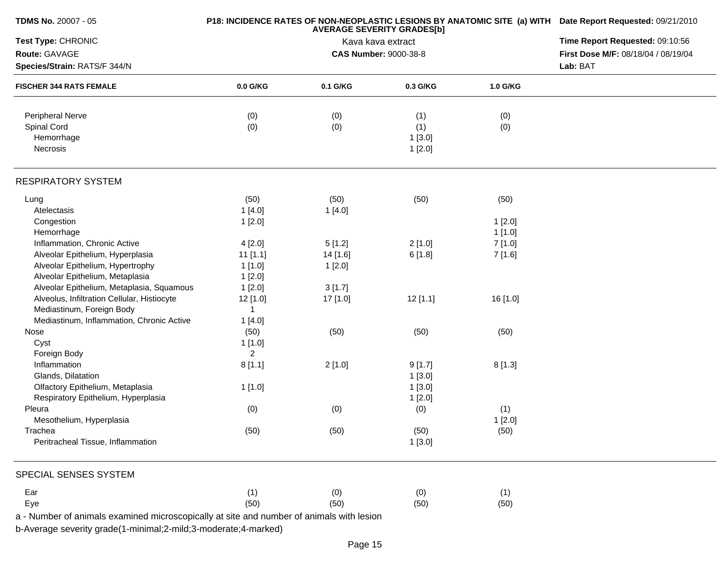| <b>TDMS No. 20007 - 05</b>                                     |                | P18: INCIDENCE RATES OF NON-NEOPLASTIC LESIONS BY ANATOMIC SITE (a) WITH Date Report Requested: 09/21/2010<br>Time Report Requested: 09:10:56 |                              |          |                                     |
|----------------------------------------------------------------|----------------|-----------------------------------------------------------------------------------------------------------------------------------------------|------------------------------|----------|-------------------------------------|
| Test Type: CHRONIC                                             |                |                                                                                                                                               |                              |          |                                     |
| Route: GAVAGE                                                  |                |                                                                                                                                               | <b>CAS Number: 9000-38-8</b> |          | First Dose M/F: 08/18/04 / 08/19/04 |
| Species/Strain: RATS/F 344/N<br><b>FISCHER 344 RATS FEMALE</b> |                | Lab: BAT                                                                                                                                      |                              |          |                                     |
|                                                                | 0.0 G/KG       | 0.1 G/KG                                                                                                                                      | 0.3 G/KG                     | 1.0 G/KG |                                     |
| Peripheral Nerve                                               | (0)            |                                                                                                                                               | (1)                          | (0)      |                                     |
| Spinal Cord                                                    | (0)            | (0)<br>(0)                                                                                                                                    | (1)                          | (0)      |                                     |
| Hemorrhage                                                     |                |                                                                                                                                               | 1[3.0]                       |          |                                     |
| Necrosis                                                       |                |                                                                                                                                               | 1[2.0]                       |          |                                     |
| <b>RESPIRATORY SYSTEM</b>                                      |                |                                                                                                                                               |                              |          |                                     |
| Lung                                                           | (50)           | (50)                                                                                                                                          | (50)                         | (50)     |                                     |
| Atelectasis                                                    | 1[4.0]         | 1[4.0]                                                                                                                                        |                              |          |                                     |
| Congestion                                                     | 1[2.0]         |                                                                                                                                               |                              | 1[2.0]   |                                     |
| Hemorrhage                                                     |                |                                                                                                                                               |                              | 1[1.0]   |                                     |
| Inflammation, Chronic Active                                   | 4[2.0]         | 5[1.2]                                                                                                                                        | 2[1.0]                       | 7[1.0]   |                                     |
| Alveolar Epithelium, Hyperplasia                               | $11$ [1.1]     | 14 [1.6]                                                                                                                                      | 6[1.8]                       | 7 [1.6]  |                                     |
| Alveolar Epithelium, Hypertrophy                               | 1[1.0]         | 1[2.0]                                                                                                                                        |                              |          |                                     |
| Alveolar Epithelium, Metaplasia                                | 1[2.0]         |                                                                                                                                               |                              |          |                                     |
| Alveolar Epithelium, Metaplasia, Squamous                      | 1[2.0]         | 3[1.7]                                                                                                                                        |                              |          |                                     |
| Alveolus, Infiltration Cellular, Histiocyte                    | 12 [1.0]       | 17 [1.0]                                                                                                                                      | $12$ [1.1]                   | 16 [1.0] |                                     |
| Mediastinum, Foreign Body                                      | 1              |                                                                                                                                               |                              |          |                                     |
| Mediastinum, Inflammation, Chronic Active                      | 1[4.0]         |                                                                                                                                               |                              |          |                                     |
| Nose                                                           | (50)           | (50)                                                                                                                                          | (50)                         | (50)     |                                     |
| Cyst                                                           | 1[1.0]         |                                                                                                                                               |                              |          |                                     |
| Foreign Body                                                   | $\overline{2}$ |                                                                                                                                               |                              |          |                                     |
| Inflammation                                                   | 8[1.1]         | 2[1.0]                                                                                                                                        |                              | 8[1.3]   |                                     |
| Glands, Dilatation                                             |                |                                                                                                                                               | 9[1.7]                       |          |                                     |
| Olfactory Epithelium, Metaplasia                               |                |                                                                                                                                               | 1[3.0]                       |          |                                     |
|                                                                | 1[1.0]         |                                                                                                                                               | 1[3.0]                       |          |                                     |
| Respiratory Epithelium, Hyperplasia                            |                |                                                                                                                                               | 1[2.0]                       |          |                                     |
| Pleura                                                         | (0)            | (0)                                                                                                                                           | (0)                          | (1)      |                                     |
| Mesothelium, Hyperplasia                                       |                |                                                                                                                                               |                              | 1[2.0]   |                                     |
| Trachea                                                        | (50)           | (50)                                                                                                                                          | (50)                         | (50)     |                                     |
| Peritracheal Tissue, Inflammation                              |                |                                                                                                                                               | 1[3.0]                       |          |                                     |
| SPECIAL SENSES SYSTEM                                          |                |                                                                                                                                               |                              |          |                                     |
| Ear                                                            | (1)            | (0)                                                                                                                                           | (0)                          | (1)      |                                     |
| Eye                                                            | (50)           | (50)                                                                                                                                          | (50)                         | (50)     |                                     |